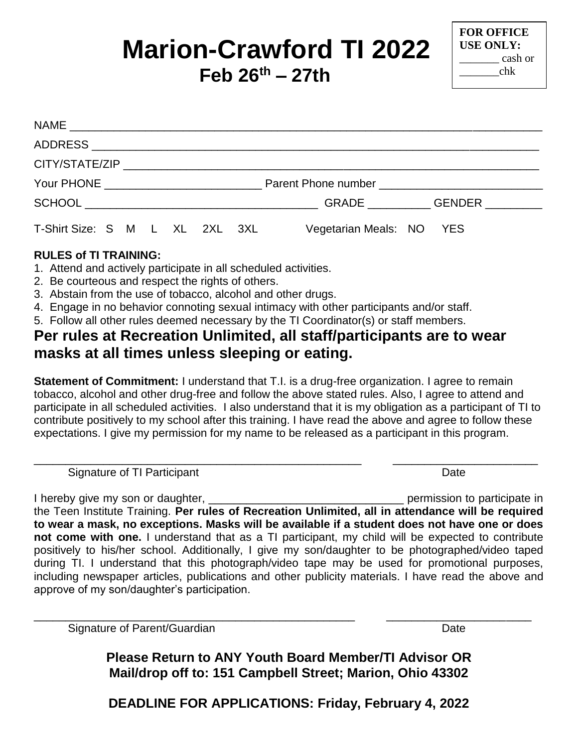# **Marion-Crawford TI 2022 Feb 26 th – 27th**

**FOR OFFICE USE ONLY:** \_\_\_\_\_\_\_ cash or \_\_\_\_\_\_\_chk

| T-Shirt Size: S M L XL 2XL 3XL | Vegetarian Meals: NO YES |
|--------------------------------|--------------------------|

#### **RULES of TI TRAINING:**

- 1. Attend and actively participate in all scheduled activities.
- 2. Be courteous and respect the rights of others.
- 3. Abstain from the use of tobacco, alcohol and other drugs.
- 4. Engage in no behavior connoting sexual intimacy with other participants and/or staff.
- 5. Follow all other rules deemed necessary by the TI Coordinator(s) or staff members.

## **Per rules at Recreation Unlimited, all staff/participants are to wear masks at all times unless sleeping or eating.**

**Statement of Commitment:** I understand that T.I. is a drug-free organization. I agree to remain tobacco, alcohol and other drug-free and follow the above stated rules. Also, I agree to attend and participate in all scheduled activities. I also understand that it is my obligation as a participant of TI to contribute positively to my school after this training. I have read the above and agree to follow these expectations. I give my permission for my name to be released as a participant in this program.

Signature of TI Participant **Date** 

\_\_\_\_\_\_\_\_\_\_\_\_\_\_\_\_\_\_\_\_\_\_\_\_\_\_\_\_\_\_\_\_\_\_\_\_\_\_\_\_\_\_\_\_\_\_\_\_\_\_\_\_ \_\_\_\_\_\_\_\_\_\_\_\_\_\_\_\_\_\_\_\_\_\_\_

I hereby give my son or daughter, the state of the state of the permission to participate in the Teen Institute Training. **Per rules of Recreation Unlimited, all in attendance will be required to wear a mask, no exceptions. Masks will be available if a student does not have one or does not come with one.** I understand that as a TI participant, my child will be expected to contribute positively to his/her school. Additionally, I give my son/daughter to be photographed/video taped during TI. I understand that this photograph/video tape may be used for promotional purposes, including newspaper articles, publications and other publicity materials. I have read the above and approve of my son/daughter's participation.

Signature of Parent/Guardian Date Controller and Date Date Date

\_\_\_\_\_\_\_\_\_\_\_\_\_\_\_\_\_\_\_\_\_\_\_\_\_\_\_\_\_\_\_\_\_\_\_\_\_\_\_\_\_\_\_\_\_\_\_\_\_\_\_ \_\_\_\_\_\_\_\_\_\_\_\_\_\_\_\_\_\_\_\_\_\_\_

**Please Return to ANY Youth Board Member/TI Advisor OR Mail/drop off to: 151 Campbell Street; Marion, Ohio 43302**

**DEADLINE FOR APPLICATIONS: Friday, February 4, 2022**